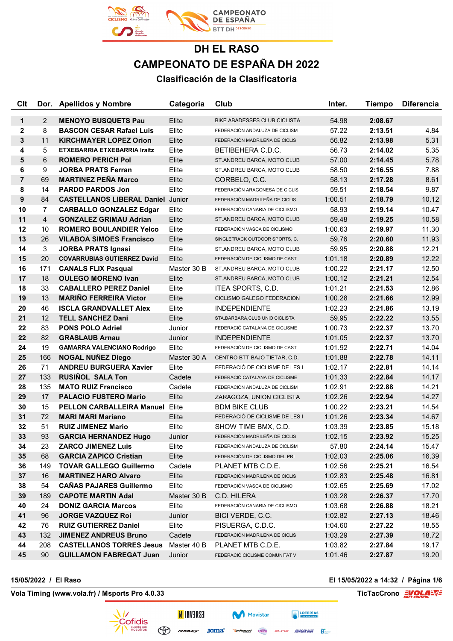

| Clt            |                   | Dor. Apellidos y Nombre                  | Categoria   | Club                                | Inter.  | <b>Tiempo</b> | <b>Diferencia</b> |
|----------------|-------------------|------------------------------------------|-------------|-------------------------------------|---------|---------------|-------------------|
| $\mathbf 1$    | 2                 | <b>MENOYO BUSQUETS Pau</b>               | Elite       | <b>BIKE ABADESSES CLUB CICLISTA</b> | 54.98   | 2:08.67       |                   |
| $\mathbf{2}$   | 8                 | <b>BASCON CESAR Rafael Luis</b>          | Elite       | FEDERACIÓN ANDALUZA DE CICLISM      | 57.22   | 2:13.51       | 4.84              |
| 3              | 11                | <b>KIRCHMAYER LOPEZ Orion</b>            | Elite       | FEDERACIÓN MADRILEÑA DE CICLIS      | 56.82   | 2:13.98       | 5.31              |
| 4              | 5                 | ETXEBARRIA ETXEBARRIA Iraitz             | Elite       | BETIBEHERA C.D.C.                   | 56.73   | 2:14.02       | 5.35              |
| 5              | 6                 | <b>ROMERO PERICH Pol</b>                 | Elite       | ST.ANDREU BARCA, MOTO CLUB          | 57.00   | 2:14.45       | 5.78              |
| 6              | 9                 | <b>JORBA PRATS Ferran</b>                | Elite       | ST.ANDREU BARCA, MOTO CLUB          | 58.50   | 2:16.55       | 7.88              |
| $\overline{7}$ | 69                | <b>MARTINEZ PEÑA Marco</b>               | Elite       | CORBELO, C.C.                       | 58.13   | 2:17.28       | 8.61              |
| 8              | 14                | <b>PARDO PARDOS Jon</b>                  | Elite       | FEDERACIÓN ARAGONESA DE CICLIS      | 59.51   | 2:18.54       | 9.87              |
| 9              | 84                | <b>CASTELLANOS LIBERAL Daniel Junior</b> |             | FEDERACIÓN MADRILEÑA DE CICLIS      | 1:00.51 | 2:18.79       | 10.12             |
| 10             | $\overline{7}$    | <b>CARBALLO GONZALEZ Edgar</b>           | Elite       | FEDERACIÓN CANARIA DE CICLISMO      | 58.93   | 2:19.14       | 10.47             |
| 11             | $\overline{4}$    | <b>GONZALEZ GRIMAU Adrian</b>            | Elite       | ST.ANDREU BARCA, MOTO CLUB          | 59.48   | 2:19.25       | 10.58             |
| 12             | 10                | <b>ROMERO BOULANDIER Yelco</b>           | Elite       | FEDERACIÓN VASCA DE CICLISMO        | 1:00.63 | 2:19.97       | 11.30             |
| 13             | 26                | <b>VILABOA SIMOES Francisco</b>          | Elite       | SINGLETRACK OUTDOOR SPORTS, C.      | 59.76   | 2:20.60       | 11.93             |
| 14             | 3                 | <b>JORBA PRATS Ignasi</b>                | Elite       | ST.ANDREU BARCA, MOTO CLUB          | 59.95   | 2:20.88       | 12.21             |
| 15             | 20                | <b>COVARRUBIAS GUTIERREZ David</b>       | Elite       | FEDERACIÓN DE CICLISMO DE CAST      | 1:01.18 | 2:20.89       | 12.22             |
| 16             | 171               | <b>CANALS FLIX Pasqual</b>               | Master 30 B | ST.ANDREU BARCA, MOTO CLUB          | 1:00.22 | 2:21.17       | 12.50             |
| 17             | 18                | <b>OULEGO MORENO Ivan</b>                | Elite       | ST.ANDREU BARCA, MOTO CLUB          | 1:00.12 | 2:21.21       | 12.54             |
| 18             | 33                | <b>CABALLERO PEREZ Daniel</b>            | Elite       | ITEA SPORTS, C.D.                   | 1:01.21 | 2:21.53       | 12.86             |
| 19             | 13                | <b>MARIÑO FERREIRA Victor</b>            | Elite       | CICLISMO GALEGO FEDERACION          | 1:00.28 | 2:21.66       | 12.99             |
| 20             | 46                | <b>ISCLA GRANDVALLET Alex</b>            | Elite       | <b>INDEPENDIENTE</b>                | 1:02.23 | 2:21.86       | 13.19             |
| 21             | $12 \overline{ }$ | <b>TELL SANCHEZ Dani</b>                 | Elite       | STA.BARBARA, CLUB UNIO CICLISTA     | 59.95   | 2:22.22       | 13.55             |
| 22             | 83                | <b>PONS POLO Adriel</b>                  | Junior      | FEDERACIÓ CATALANA DE CICLISME      | 1:00.73 | 2:22.37       | 13.70             |
| 22             | 82                | <b>GRASLAUB Arnau</b>                    | Junior      | <b>INDEPENDIENTE</b>                | 1:01.05 | 2:22.37       | 13.70             |
| 24             | 19                | <b>GAMARRA VALENCIANO Rodrigo</b>        | Elite       | FEDERACIÓN DE CICLISMO DE CAST      | 1:01.92 | 2:22.71       | 14.04             |
| 25             | 166               | <b>NOGAL NUNEZ Diego</b>                 | Master 30 A | CENTRO BTT BAJO TIETAR, C.D.        | 1:01.88 | 2:22.78       | 14.11             |
| 26             | 71                | <b>ANDREU BURGUERA Xavier</b>            | Elite       | FEDERACIÓ DE CICLISME DE LES I      | 1:02.17 | 2:22.81       | 14.14             |
| 27             | 133               | <b>RUSINOL SALA Ton</b>                  | Cadete      | FEDERACIÓ CATALANA DE CICLISME      | 1:01.33 | 2:22.84       | 14.17             |
| 28             | 135               | <b>MATO RUIZ Francisco</b>               | Cadete      | FEDERACIÓN ANDALUZA DE CICLISM      | 1:02.91 | 2:22.88       | 14.21             |
| 29             | 17                | <b>PALACIO FUSTERO Mario</b>             | Elite       | ZARAGOZA, UNION CICLISTA            | 1:02.26 | 2:22.94       | 14.27             |
| 30             | 15                | <b>PELLON CARBALLEIRA Manuel</b>         | Elite       | <b>BDM BIKE CLUB</b>                | 1:00.22 | 2:23.21       | 14.54             |
| 31             | 72                | <b>MARI MARI Mariano</b>                 | Elite       | FEDERACIÓ DE CICLISME DE LES I      | 1:01.26 | 2:23.34       | 14.67             |
| 32             | 51                | <b>RUIZ JIMENEZ Mario</b>                | Elite       | SHOW TIME BMX, C.D.                 | 1:03.39 | 2:23.85       | 15.18             |
| 33             | 93                | <b>GARCIA HERNANDEZ Hugo</b>             | Junior      | FEDERACIÓN MADRILEÑA DE CICLIS      | 1:02.15 | 2:23.92       | 15.25             |
| 34             | 23                | <b>ZARCO JIMENEZ Luis</b>                | Elite       | FEDERACIÓN ANDALUZA DE CICLISM      | 57.80   | 2:24.14       | 15.47             |
| 35             | 68                | <b>GARCIA ZAPICO Cristian</b>            | Elite       | FEDERACIÓN DE CICLISMO DEL PRI      | 1:02.03 | 2:25.06       | 16.39             |
| 36             | 149               | <b>TOVAR GALLEGO Guillermo</b>           | Cadete      | PLANET MTB C.D.E.                   | 1:02.56 | 2:25.21       | 16.54             |
| 37             | 16                | <b>MARTINEZ HARO Alvaro</b>              | Elite       | FEDERACIÓN MADRILEÑA DE CICLIS      | 1:02.83 | 2:25.48       | 16.81             |
| 38             | 54                | <b>CAÑAS PAJARES Guillermo</b>           | Elite       | FEDERACIÓN VASCA DE CICLISMO        | 1:02.65 | 2:25.69       | 17.02             |
| 39             | 189               | <b>CAPOTE MARTIN Adal</b>                | Master 30 B | C.D. HILERA                         | 1:03.28 | 2:26.37       | 17.70             |
| 40             | 24                | <b>DONIZ GARCIA Marcos</b>               | Elite       | FEDERACIÓN CANARIA DE CICLISMO      | 1:03.68 | 2:26.88       | 18.21             |
| 41             | 96                | <b>JORGE VAZQUEZ Roi</b>                 | Junior      | BICI VERDE, C.C.                    | 1:02.82 | 2:27.13       | 18.46             |
| 42             | 76                | <b>RUIZ GUTIERREZ Daniel</b>             | Elite       | PISUERGA, C.D.C.                    | 1:04.60 | 2:27.22       | 18.55             |
| 43             | 132               | <b>JIMENEZ ANDREUS Bruno</b>             | Cadete      | FEDERACIÓN MADRILEÑA DE CICLIS      | 1:03.29 | 2:27.39       | 18.72             |
| 44             | 208               | <b>CASTELLANOS TORRES Jesus</b>          | Master 40 B | PLANET MTB C.D.E.                   | 1:03.82 | 2:27.84       | 19.17             |
| 45             | 90                | <b>GUILLAMON FABREGAT Juan</b>           | Junior      | FEDERACIÓ CICLISME COMUNITAT V      | 1:01.46 | 2:27.87       | 19.20             |

**Vola Timing (www.vola.fr) / Msports Pro 4.0.33 TicTacCrono EVOLAEVE** 

**15/05/2022 / El Raso El 15/05/2022 a 14:32 / Página 1/6**

# Cofidis cuenta con<br>NOSOtrOS

**ESAEVNI N** 

 $\bigoplus$ 

 $=$  $=$  MORGAN BLUE  $\sum_{n=1}^{\infty}$ *Minfisport* Cazorla

Movistar

**EXECUTERIAS**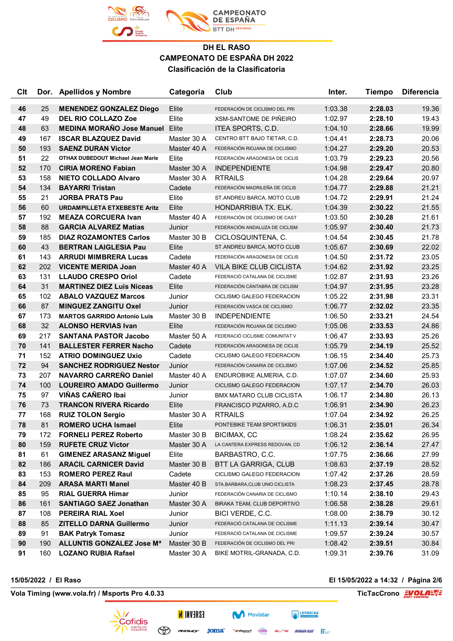

| <b>Clt</b> |           | Dor. Apellidos y Nombre                                   | Categoria             | Club                                                          | Inter.             | <b>Tiempo</b>      | <b>Diferencia</b> |
|------------|-----------|-----------------------------------------------------------|-----------------------|---------------------------------------------------------------|--------------------|--------------------|-------------------|
| 46         | 25        | <b>MENENDEZ GONZALEZ Diego</b>                            | Elite                 | FEDERACIÓN DE CICLISMO DEL PRI                                | 1:03.38            | 2:28.03            | 19.36             |
| 47         | 49        | <b>DEL RIO COLLAZO Zoe</b>                                | Elite                 | <b>XSM-SANTOME DE PIÑEIRO</b>                                 | 1:02.97            | 2:28.10            | 19.43             |
| 48         | 63        | <b>MEDINA MORAÑO Jose Manuel</b>                          | Elite                 | ITEA SPORTS, C.D.                                             | 1:04.10            | 2:28.66            | 19.99             |
| 49         | 167       | <b>ISCAR BLAZQUEZ David</b>                               | Master 30 A           | CENTRO BTT BAJO TIETAR, C.D.                                  | 1:04.41            | 2:28.73            | 20.06             |
| 50         | 193       | <b>SAENZ DURAN Victor</b>                                 | Master 40 A           | FEDERACIÓN RIOJANA DE CICLISMO                                | 1:04.27            | 2:29.20            | 20.53             |
| 51         | 22        | <b>OTHAX DUBEDOUT Michael Jean Marie</b>                  | Elite                 | FEDERACIÓN ARAGONESA DE CICLIS                                | 1:03.79            | 2:29.23            | 20.56             |
| 52         | 170       | <b>CIRIA MORENO Fabian</b>                                | Master 30 A           | <b>INDEPENDIENTE</b>                                          | 1:04.98            | 2:29.47            | 20.80             |
| 53         | 158       | <b>NIETO COLLADO Alvaro</b>                               | Master 30 A           | <b>RTRAILS</b>                                                | 1:04.28            | 2:29.64            | 20.97             |
| 54         | 134       | <b>BAYARRI Tristan</b>                                    | Cadete                | FEDERACIÓN MADRILEÑA DE CICLIS                                | 1:04.77            | 2:29.88            | 21.21             |
| 55         | 21        | <b>JORBA PRATS Pau</b>                                    | Elite                 | ST.ANDREU BARCA, MOTO CLUB                                    | 1:04.72            | 2:29.91            | 21.24             |
| 56         | 60        | <b>URDAMPILLETA ETXEBESTE Aritz</b>                       | Elite                 | HONDARRIBIA TX. ELK.                                          | 1:04.39            | 2:30.22            | 21.55             |
| 57         | 192       | <b>MEAZA CORCUERA Ivan</b>                                | Master 40 A           | FEDERACIÓN DE CICLISMO DE CAST                                | 1:03.50            | 2:30.28            | 21.61             |
| 58         | 88        | <b>GARCIA ALVAREZ Matias</b>                              | Junior                | FEDERACIÓN ANDALUZA DE CICLISM                                | 1:05.97            | 2:30.40            | 21.73             |
| 59         | 185       | <b>DIAZ ROZAMONTES Carlos</b>                             | Master 30 B           | CICLOSQUINTENA, C.                                            | 1:04.54            | 2:30.45            | 21.78             |
| 60         | 43        | <b>BERTRAN LAIGLESIA Pau</b>                              | Elite                 | ST.ANDREU BARCA, MOTO CLUB                                    | 1:05.67            | 2:30.69            | 22.02             |
| 61         | 143       | <b>ARRUDI MIMBRERA Lucas</b>                              | Cadete                | FEDERACIÓN ARAGONESA DE CICLIS                                | 1:04.50            | 2:31.72            | 23.05             |
| 62         | 202       | <b>VICENTE MERIDA Joan</b>                                | Master 40 A           | VILA BIKE CLUB CICLISTA                                       | 1:04.62            | 2:31.92            | 23.25             |
| 63         | 131       | <b>LLAUDO CRESPO Oriol</b>                                | Cadete                | FEDERACIÓ CATALANA DE CICLISME                                | 1:02.87            | 2:31.93            | 23.26             |
| 64         | 31        | <b>MARTINEZ DIEZ Luis Niceas</b>                          | Elite                 | FEDERACIÓN CÁNTABRA DE CICLISM                                | 1:04.97            | 2:31.95            | 23.28             |
| 65         | 102       | <b>ABALO VAZQUEZ Marcos</b>                               | Junior                | CICLISMO GALEGO FEDERACION                                    | 1:05.22            | 2:31.98            | 23.31             |
| 66         | 87        | <b>MINGUEZ ZANGITU Oxel</b>                               | Junior                | FEDERACIÓN VASCA DE CICLISMO                                  | 1:06.77            | 2:32.02            | 23.35             |
| 67         | 173       | <b>MARTOS GARRIDO Antonio Luis</b>                        | Master 30 B           | <b>INDEPENDIENTE</b>                                          | 1:06.50            | 2:33.21            | 24.54             |
| 68         | 32        | <b>ALONSO HERVIAS Ivan</b>                                | Elite                 | FEDERACIÓN RIOJANA DE CICLISMO                                | 1:05.06            | 2:33.53            | 24.86             |
| 69         | 217       | <b>SANTANA PASTOR Jacobo</b>                              | Master 50 A           | FEDERACIÓ CICLISME COMUNITAT V                                | 1:06.47            | 2:33.93            | 25.26             |
| 70         | 141       | <b>BALLESTER FERRER Nacho</b>                             | Cadete                | FEDERACIÓN ARAGONESA DE CICLIS                                | 1:05.79            | 2:34.19            | 25.52             |
| 71         | 152       | <b>ATRIO DOMINGUEZ Uxio</b>                               | Cadete                | CICLISMO GALEGO FEDERACION                                    | 1:06.15            | 2:34.40            | 25.73             |
| 72         | 94        | <b>SANCHEZ RODRIGUEZ Nestor</b>                           | Junior                | FEDERACIÓN CANARIA DE CICLISMO                                | 1:07.06            | 2:34.52            | 25.85             |
| 73         | 207       | <b>NAVARRO CARREÑO Daniel</b>                             | Master 40 A           | ENDUROBIKE ALMERIA, C.D.                                      | 1:07.07            | 2:34.60            | 25.93             |
| 74         | 100       | <b>LOUREIRO AMADO Guillermo</b>                           | Junior                | <b>CICLISMO GALEGO FEDERACION</b>                             | 1:07.17            | 2:34.70            | 26.03             |
| 75         | 97        | VIÑAS CAÑERO Ibai                                         | Junior                | <b>BMX MATARO CLUB CICLISTA</b>                               | 1:06.17            | 2:34.80            | 26.13             |
| 76         | 73        | <b>TRANCON RIVERA Ricardo</b>                             | Elite                 | FRANCISCO PIZARRO, A.D.C                                      | 1:06.91            | 2:34.90            | 26.23             |
| 77         | 168       | <b>RUIZ TOLON Sergio</b>                                  | Master 30 A           | <b>RTRAILS</b>                                                | 1:07.04            | 2:34.92            | 26.25             |
| 78         | 81        | <b>ROMERO UCHA Ismael</b>                                 | Elite                 | PONTEBIKE TEAM SPORTSKIDS                                     | 1:06.31            | 2:35.01            | 26.34             |
| 79         | 172       | <b>FORNELI PEREZ Roberto</b>                              | Master 30 B           | BICIMAX, CC                                                   | 1:08.24            | 2:35.62            | 26.95             |
| 80         | 159       | <b>RUFETE CRUZ Victor</b>                                 | Master 30 A           | LA CANTERA EXPRESS REDOVAN, CD                                | 1:06.12            | 2:36.14            | 27.47             |
| 81         | 61        | <b>GIMENEZ ARASANZ Miguel</b>                             | Elite                 | BARBASTRO, C.C.                                               | 1:07.75            | 2:36.66            | 27.99             |
| 82         | 186       | <b>ARACIL CARNICER David</b>                              | Master 30 B           | <b>BTT LA GARRIGA, CLUB</b><br>CICLISMO GALEGO FEDERACION     | 1:08.63            | 2:37.19            | 28.52             |
| 83         | 153       | <b>ROMERO PEREZ Raul</b>                                  | Cadete<br>Master 40 B |                                                               | 1:07.42            | 2:37.26            | 28.59             |
| 84         | 209       | <b>ARASA MARTI Manel</b>                                  |                       | STA.BARBARA, CLUB UNIO CICLISTA                               | 1:08.23            | 2:37.45            | 28.78             |
| 85<br>86   | 95<br>161 | <b>RIAL GUERRA Himar</b><br><b>SANTIAGO SAEZ Jonathan</b> | Junior<br>Master 30 A | FEDERACIÓN CANARIA DE CICLISMO<br>BIRAKA TEAM, CLUB DEPORTIVO | 1:10.14<br>1:06.58 | 2:38.10<br>2:38.28 | 29.43<br>29.61    |
| 87         | 108       | <b>PEREIRA RIAL Xoel</b>                                  | Junior                | BICI VERDE, C.C.                                              | 1:08.00            | 2:38.79            | 30.12             |
| 88         | 85        | <b>ZITELLO DARNA Guillermo</b>                            | Junior                | FEDERACIÓ CATALANA DE CICLISME                                | 1:11.13            | 2:39.14            | 30.47             |
| 89         | 91        | <b>BAK Patryk Tomasz</b>                                  | Junior                | FEDERACIÓ CATALANA DE CICLISME                                | 1:09.57            | 2:39.24            | 30.57             |
| 90         | 190       | <b>ALLUNTIS GONZALEZ Jose Ma</b>                          | Master 30 B           | FEDERACIÓN DE CICLISMO DEL PRI                                | 1:08.42            | 2:39.51            | 30.84             |
| 91         | 160       | <b>LOZANO RUBIA Rafael</b>                                | Master 30 A           | BIKE MOTRIL-GRANADA, C.D.                                     | 1:09.31            | 2:39.76            | 31.09             |
|            |           |                                                           |                       |                                                               |                    |                    |                   |

**Vola Timing (www.vola.fr) / Msports Pro 4.0.33 TicTacCrono EVOLAL** 

**15/05/2022 / El Raso El 15/05/2022 a 14:32 / Página 2/6**



**ESAEVNI N**  $\bigoplus$ 

 $F = L \rightarrow T$ 

**Vinfisport** Cazoria ELITE MORGAN BLUE B

Movistar

**EXECUTERIAS**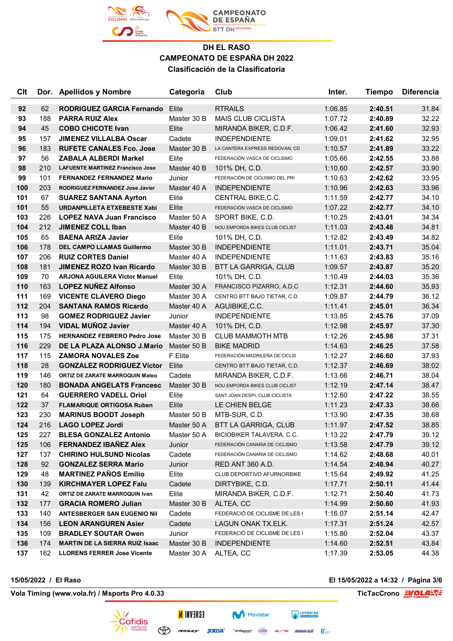

| <b>C<sub>It</sub></b> |            | Dor. Apellidos y Nombre                                           | Categoria            | Club                               | Inter.             | <b>Tiempo</b>      | <b>Diferencia</b> |
|-----------------------|------------|-------------------------------------------------------------------|----------------------|------------------------------------|--------------------|--------------------|-------------------|
| 92                    | 62         | <b>RODRIGUEZ GARCIA Fernando</b>                                  | Elite                | <b>RTRAILS</b>                     | 1:06.85            | 2:40.51            | 31.84             |
| 93                    | 188        | <b>PARRA RUIZ Alex</b>                                            | Master 30 B          | <b>MAIS CLUB CICLISTA</b>          | 1:07.72            | 2:40.89            | 32.22             |
| 94                    | 45         | <b>COBO CHICOTE Ivan</b>                                          | Elite                | MIRANDA BIKER, C.D.F.              | 1:06.42            | 2:41.60            | 32.93             |
| 95                    | 157        | <b>JIMENEZ VILLALBA Oscar</b>                                     | Cadete               | <b>INDEPENDIENTE</b>               | 1:09.01            | 2:41.62            | 32.95             |
| 96                    | 183        | <b>RUFETE CANALES Fco. Jose</b>                                   | Master 30 B          | LA CANTERA EXPRESS REDOVAN, CD     | 1:10.57            | 2:41.89            | 33.22             |
| 97                    | 56         | <b>ZABALA ALBERDI Markel</b>                                      | Elite                | FEDERACIÓN VASCA DE CICLISMO       | 1:05.66            | 2:42.55            | 33.88             |
| 98                    | 210        | <b>LAFUENTE MARTINEZ Francisco Jose</b>                           | Master 40 B          | 101% DH, C.D.                      | 1:10.60            | 2:42.57            | 33.90             |
| 99                    | 101        | <b>FERNANDEZ FERNANDEZ Mario</b>                                  | Junior               | FEDERACIÓN DE CICLISMO DEL PRI     | 1:10.63            | 2:42.62            | 33.95             |
| 100                   | 203        | RODRIGUEZ FERNANDEZ Jose Javier                                   | Master 40 A          | <b>INDEPENDIENTE</b>               | 1:10.96            | 2:42.63            | 33.96             |
| 101                   | 67         | <b>SUAREZ SANTANA Ayrton</b>                                      | Elite                | CENTRAL BIKE, C.C.                 | 1:11.59            | 2:42.77            | 34.10             |
| 101                   | 55         | URDANPILLETA ETXEBESTE Xabi                                       | Elite                | FEDERACIÓN VASCA DE CICLISMO       | 1:07.22            | 2:42.77            | 34.10             |
| 103                   | 226        | <b>LOPEZ NAVA Juan Francisco</b>                                  | Master 50 A          | SPORT BIKE, C.D.                   | 1:10.25            | 2:43.01            | 34.34             |
| 104                   | 212        | <b>JIMENEZ COLL Iban</b>                                          | Master 40 B          | NOU EMPORDA BIKES CLUB CICLIST     | 1:11.03            | 2:43.48            | 34.81             |
| 105                   | 65         | <b>BAENA ARIZA Javier</b>                                         | Elite                | 101% DH, C.D.                      | 1:12.82            | 2:43.49            | 34.82             |
| 106                   | 178        | <b>DEL CAMPO LLAMAS Guillermo</b>                                 | Master 30 B          | <b>INDEPENDIENTE</b>               | 1:11.01            | 2:43.71            | 35.04             |
| 107                   | 206        | <b>RUIZ CORTES Daniel</b>                                         | Master 40 A          | <b>INDEPENDIENTE</b>               | 1:11.63            | 2:43.83            | 35.16             |
| 108                   | 181        | <b>JIMENEZ ROZO Ivan Ricardo</b>                                  | Master 30 B          | BTT LA GARRIGA, CLUB               | 1:09.57            | 2:43.87            | 35.20             |
| 109                   | 70         | <b>ARJONA AGUILERA Victor Manuel</b>                              | Elite                | 101% DH, C.D.                      | 1:10.49            | 2:44.03            | 35.36             |
| 110                   | 163        | <b>LOPEZ NUÑEZ Alfonso</b>                                        | Master 30 A          | FRANCISCO PIZARRO, A.D.C           | 1:12.31            | 2:44.60            | 35.93             |
| 111                   | 169        | <b>VICENTE CLAVERO Diego</b>                                      | Master 30 A          | CENTRO BTT BAJO TIETAR, C.D.       | 1:09.87            | 2:44.79            | 36.12             |
| 112                   | 204        | <b>SANTANA RAMOS Ricardo</b>                                      | Master 40 A          | AGUIBIKE, C.C.                     | 1:11.41            | 2:45.01            | 36.34             |
| 113                   | 98         | <b>GOMEZ RODRIGUEZ Javier</b>                                     | Junior               | <b>INDEPENDIENTE</b>               | 1:13.85            | 2:45.76            | 37.09             |
| 114                   | 194        | <b>VIDAL MUÑOZ Javier</b>                                         | Master 40 A          | 101% DH, C.D.                      | 1:12.98            | 2:45.97            | 37.30             |
| 115                   | 175        | <b>HERNANDEZ FEBRERO Pedro Jose</b>                               | Master 30 B          | <b>CLUB MAMMOTH MTB</b>            | 1:12.26            | 2:45.98            | 37.31             |
| 116                   | 229        | DE LA PLAZA ALONSO J.Mario                                        | Master 50 B          | <b>BIKE MADRID</b>                 | 1:14.63            | 2:46.25            | 37.58             |
| 117                   | 115        | <b>ZAMORA NOVALES Zoe</b>                                         | F.Elite              | FEDERACIÓN MADRILEÑA DE CICLIS     | 1:12.27            | 2:46.60            | 37.93             |
| 118                   | 28         | <b>GONZALEZ RODRIGUEZ Victor</b>                                  | Elite                | CENTRO BTT BAJO TIETAR, C.D.       | 1:12.37            | 2:46.69            | 38.02             |
| 119                   | 146        | ORTIZ DE ZARATE MARROQUIN Mateo                                   | Cadete               | MIRANDA BIKER, C.D.F.              | 1:13.66            | 2:46.71            | 38.04             |
| 120                   | 180        | <b>BONADA ANGELATS Francesc</b>                                   | Master 30 B          | NOU EMPORDA BIKES CLUB CICLIST     | 1:12.19            | 2:47.14            | 38.47             |
| 121                   | 64         | <b>GUERRERO VADELL Oriol</b>                                      | Elite                | SANT JOAN DESPI, CLUB CICLISTA     | 1:12.60            | 2:47.22            | 38.55             |
| 122                   | 37         | <b>FLAMARIQUE ORTIGOSA Ruben</b>                                  | Elite                | LE CHIEN BELGE                     | 1:11.23            | 2:47.33            | 38.66             |
| 123                   | 230        | <b>MARINUS BOODT Joseph</b>                                       | Master 50 B          | MTB-SUR, C.D.                      | 1:13.90            | 2:47.35            | 38.68             |
| 124                   | 216        | <b>LAGO LOPEZ Jordi</b>                                           | Master 50 A          | <b>BTT LA GARRIGA, CLUB</b>        | 1:11.97            | 2:47.52            | 38.85             |
| 125                   | 227        | <b>BLESA GONZALEZ Antonio</b>                                     | Master 50 A          | <b>BICIOBIKER TALAVERA, C.C.</b>   | 1:13.22            | 2:47.79            | 39.12             |
| 125                   | 106        | <b>FERNANDEZ IBAÑEZ Alex</b>                                      | Junior               | FEDERACIÓN CANARIA DE CICLISMO     | 1:13.58            | 2:47.79            | 39.12             |
| 127                   | 137        | <b>CHIRINO HULSUND Nicolas</b>                                    | Cadete               | FEDERACIÓN CANARIA DE CICLISMO     | 1:14.62            | 2:48.68            | 40.01             |
| 128                   | 92         | <b>GONZALEZ SERRA Mario</b>                                       | Junior               | RED ANT 360 A.D.                   | 1:14.54            | 2:48.94            | 40.27             |
| 129                   | 48         | <b>MARTINEZ PAÑOS Emilio</b>                                      | Elite                | CLUB DEPORTIVO AFURNORBIKE         | 1:15.64            | 2:49.92            | 41.25             |
| 130                   | 139        | <b>KIRCHMAYER LOPEZ Falu</b>                                      | Cadete               | DIRTYBIKE, C.D.                    | 1:17.71            | 2:50.11            | 41.44             |
| 131<br>132            | 42         | ORTIZ DE ZARATE MARROQUIN Ivan                                    | Elite<br>Master 30 B | MIRANDA BIKER, C.D.F.<br>ALTEA, CC | 1:12.71            | 2:50.40            | 41.73             |
| 133                   | 177<br>140 | <b>GRACIA ROMERO Julian</b><br><b>ANTESBERGER SAN EUGENIO Nil</b> |                      | FEDERACIÓ DE CICLISME DE LES I     | 1:14.99            | 2:50.60<br>2:51.14 | 41.93             |
|                       | 156        |                                                                   | Cadete               | LAGUN ONAK TX.ELK.                 | 1:16.07            | 2:51.24            | 42.47             |
| 134                   | 109        | <b>LEON ARANGUREN Asier</b><br><b>BRADLEY SOUTAR Owen</b>         | Cadete               | FEDERACIÓ DE CICLISME DE LES I     | 1:17.31            |                    | 42.57<br>43.37    |
| 135<br>136            | 174        | <b>MARTIN DE LA SIERRA RUIZ Isaac</b>                             | Junior               | <b>INDEPENDIENTE</b>               | 1:15.80            | 2:52.04            |                   |
| 137                   | 162        | <b>LLORENS FERRER Jose Vicente</b>                                | Master 30 B          |                                    | 1:14.60<br>1:17.39 | 2:52.51<br>2:53.05 | 43.84<br>44.38    |
|                       |            |                                                                   | Master 30 A          | ALTEA, CC                          |                    |                    |                   |

**Vola Timing (www.vola.fr) / Msports Pro 4.0.33 TicTacCrono EVOLAL** 

**15/05/2022 / El Raso El 15/05/2022 a 14:32 / Página 3/6**



 $F = L \rightarrow T$ 

**EXECUTERIAS** 

**Vinfisport** Cazoria ELITE MORGAN BLUE B

Movistar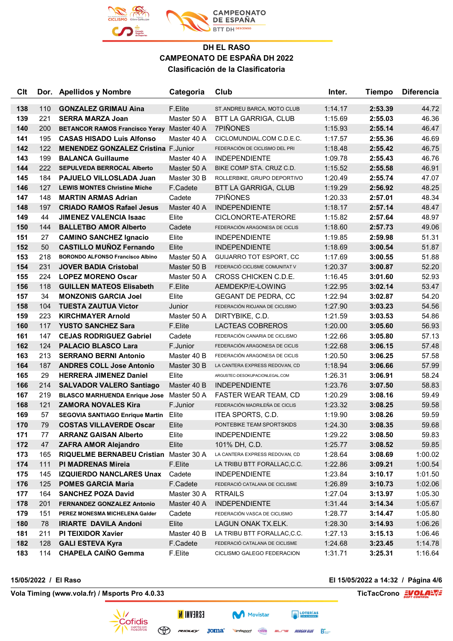

| <b>C<sub>It</sub></b> |     | Dor. Apellidos y Nombre                           | Categoria   | Club                           | Inter.  | <b>Tiempo</b> | <b>Diferencia</b> |
|-----------------------|-----|---------------------------------------------------|-------------|--------------------------------|---------|---------------|-------------------|
| 138                   | 110 | <b>GONZALEZ GRIMAU Aina</b>                       | F.Elite     | ST.ANDREU BARCA, MOTO CLUB     | 1:14.17 | 2:53.39       | 44.72             |
| 139                   | 221 | <b>SERRA MARZA Joan</b>                           | Master 50 A | BTT LA GARRIGA, CLUB           | 1:15.69 | 2:55.03       | 46.36             |
| 140                   | 200 | <b>BETANCOR RAMOS Francisco Yeray Master 40 A</b> |             | <b>7PIÑONES</b>                | 1:15.93 | 2:55.14       | 46.47             |
| 141                   | 195 | <b>CASAS HISADO Luis Alfonso</b>                  | Master 40 A | CICLOMUNDIAL.COM C.D.E.C.      | 1:17.57 | 2:55.36       | 46.69             |
| 142                   | 122 | <b>MENENDEZ GONZALEZ Cristina F.Junior</b>        |             | FEDERACIÓN DE CICLISMO DEL PRI | 1:18.48 | 2:55.42       | 46.75             |
| 143                   | 199 | <b>BALANCA Guillaume</b>                          | Master 40 A | <b>INDEPENDIENTE</b>           | 1:09.78 | 2:55.43       | 46.76             |
| 144                   | 222 | <b>SEPULVEDA BERROCAL Alberto</b>                 | Master 50 A | BIKE COMP STA. CRUZ C.D.       | 1:15.52 | 2:55.58       | 46.91             |
| 145                   | 184 | <b>PAJUELO VILLOSLADA Juan</b>                    | Master 30 B | ROLLERBIKE, GRUPO DEPORTIVO    | 1:20.49 | 2:55.74       | 47.07             |
| 146                   | 127 | <b>LEWIS MONTES Christine Miche</b>               | F.Cadete    | <b>BTT LA GARRIGA, CLUB</b>    | 1:19.29 | 2:56.92       | 48.25             |
| 147                   | 148 | <b>MARTIN ARMAS Adrian</b>                        | Cadete      | <b>7PIÑONES</b>                | 1:20.33 | 2:57.01       | 48.34             |
| 148                   | 197 | <b>CRIADO RAMOS Rafael Jesus</b>                  | Master 40 A | <b>INDEPENDIENTE</b>           | 1:18.17 | 2:57.14       | 48.47             |
| 149                   | 44  | <b>JIMENEZ VALENCIA Isaac</b>                     | Elite       | CICLONORTE-ATERORE             | 1:15.82 | 2:57.64       | 48.97             |
| 150                   | 144 | <b>BALLETBO AMOR Alberto</b>                      | Cadete      | FEDERACIÓN ARAGONESA DE CICLIS | 1:18.60 | 2:57.73       | 49.06             |
| 151                   | 27  | <b>CAMINO SANCHEZ Ignacio</b>                     | Elite       | <b>INDEPENDIENTE</b>           | 1:19.85 | 2:59.98       | 51.31             |
| 152                   | 50  | <b>CASTILLO MUÑOZ Fernando</b>                    | Elite       | <b>INDEPENDIENTE</b>           | 1:18.69 | 3:00.54       | 51.87             |
| 153                   | 218 | <b>BORONDO ALFONSO Francisco Albino</b>           | Master 50 A | <b>GUIJARRO TOT ESPORT, CC</b> | 1:17.69 | 3:00.55       | 51.88             |
| 154                   | 231 | <b>JOVER BADIA Cristobal</b>                      | Master 50 B | FEDERACIÓ CICLISME COMUNITAT V | 1:20.37 | 3:00.87       | 52.20             |
| 155                   | 224 | <b>LOPEZ MORENO Oscar</b>                         | Master 50 A | CROSS CHICKEN C.D.E.           | 1:16.45 | 3:01.60       | 52.93             |
| 156                   | 118 | <b>GUILLEN MATEOS Elisabeth</b>                   | F.Elite     | AEMDEKP/E-LOWING               | 1:22.95 | 3:02.14       | 53.47             |
| 157                   | 34  | <b>MONZONIS GARCIA Joel</b>                       | Elite       | <b>GEGANT DE PEDRA, CC</b>     | 1:22.94 | 3:02.87       | 54.20             |
| 158                   | 104 | <b>TUESTA ZAUTUA Victor</b>                       | Junior      | FEDERACIÓN RIOJANA DE CICLISMO | 1:27.90 | 3:03.23       | 54.56             |
| 159                   | 223 | <b>KIRCHMAYER Arnold</b>                          | Master 50 A | DIRTYBIKE, C.D.                | 1:21.59 | 3:03.53       | 54.86             |
| 160                   | 117 | <b>YUSTO SANCHEZ Sara</b>                         | F.Elite     | LACTEAS COBREROS               | 1:20.00 | 3:05.60       | 56.93             |
| 161                   | 147 | <b>CEJAS RODRIGUEZ Gabriel</b>                    | Cadete      | FEDERACIÓN CANARIA DE CICLISMO | 1:22.66 | 3:05.80       | 57.13             |
| 162                   | 124 | <b>PALACIO BLASCO Lara</b>                        | F.Junior    | FEDERACIÓN ARAGONESA DE CICLIS | 1:22.68 | 3:06.15       | 57.48             |
| 163                   | 213 | <b>SERRANO BERNI Antonio</b>                      | Master 40 B | FEDERACIÓN ARAGONESA DE CICLIS | 1:20.50 | 3:06.25       | 57.58             |
| 164                   | 187 | <b>ANDRES COLL Jose Antonio</b>                   | Master 30 B | LA CANTERA EXPRESS REDOVAN, CD | 1:18.94 | 3:06.66       | 57.99             |
| 165                   | 29  | <b>HERRERA JIMENEZ Daniel</b>                     | Elite       | ARGUSTEC-DESOKUPACIONLEGAL.COM | 1:26.31 | 3:06.91       | 58.24             |
| 166                   | 214 | <b>SALVADOR VALERO Santiago</b>                   | Master 40 B | <b>INDEPENDIENTE</b>           | 1:23.76 | 3:07.50       | 58.83             |
| 167                   | 219 | <b>BLASCO MARHUENDA Enrique Jose</b>              | Master 50 A | <b>FASTER WEAR TEAM, CD</b>    | 1:20.29 | 3:08.16       | 59.49             |
| 168                   | 121 | <b>ZAMORA NOVALES Kira</b>                        | F.Junior    | FEDERACIÓN MADRILEÑA DE CICLIS | 1:23.32 | 3:08.25       | 59.58             |
| 169                   | 57  | <b>SEGOVIA SANTIAGO Enrique Martin</b>            | Elite       | ITEA SPORTS, C.D.              | 1:19.90 | 3:08.26       | 59.59             |
| 170                   | 79  | <b>COSTAS VILLAVERDE Oscar</b>                    | Elite       | PONTEBIKE TEAM SPORTSKIDS      | 1:24.30 | 3:08.35       | 59.68             |
| 171                   | 77  | <b>ARRANZ GAISAN Alberto</b>                      | Elite       | <b>INDEPENDIENTE</b>           | 1:29.22 | 3:08.50       | 59.83             |
| 172                   | 47  | <b>ZAFRA AMOR Alejandro</b>                       | Elite       | 101% DH, C.D.                  | 1:25.77 | 3:08.52       | 59.85             |
| 173                   | 165 | <b>RIQUELME BERNABEU Cristian</b>                 | Master 30 A | LA CANTERA EXPRESS REDOVAN, CD | 1:28.64 | 3:08.69       | 1:00.02           |
| 174                   | 111 | <b>PI MADRENAS Mireia</b>                         | F.Elite     | LA TRIBU BTT FORALLAC, C.C.    | 1:22.86 | 3:09.21       | 1:00.54           |
| 175                   | 145 | <b>IZQUIERDO NANCLARES Unax</b>                   | Cadete      | <b>INDEPENDIENTE</b>           | 1:23.84 | 3:10.17       | 1:01.50           |
| 176                   | 125 | <b>POMES GARCIA Maria</b>                         | F.Cadete    | FEDERACIÓ CATALANA DE CICLISME | 1:26.89 | 3:10.73       | 1:02.06           |
| 177                   | 164 | <b>SANCHEZ POZA David</b>                         | Master 30 A | <b>RTRAILS</b>                 | 1:27.04 | 3:13.97       | 1:05.30           |
| 178                   | 201 | FERNANDEZ GONZALEZ Antonio                        | Master 40 A | <b>INDEPENDIENTE</b>           | 1:31.44 | 3:14.34       | 1:05.67           |
| 179                   | 151 | PEREZ MONESMA MICHELENA Galder                    | Cadete      | FEDERACIÓN VASCA DE CICLISMO   | 1:28.77 | 3:14.47       | 1:05.80           |
| 180                   | 78  | <b>IRIARTE DAVILA Andoni</b>                      | Elite       | LAGUN ONAK TX.ELK.             | 1:28.30 | 3:14.93       | 1:06.26           |
| 181                   | 211 | PI TEIXIDOR Xavier                                | Master 40 B | LA TRIBU BTT FORALLAC,C.C.     | 1:27.13 | 3:15.13       | 1:06.46           |
| 182                   | 128 | <b>GALI ESTEVA Kyra</b>                           | F.Cadete    | FEDERACIÓ CATALANA DE CICLISME | 1:24.68 | 3:23.45       | 1:14.78           |
| 183                   | 114 | <b>CHAPELA CAIÑO Gemma</b>                        | F.Elite     | CICLISMO GALEGO FEDERACION     | 1:31.71 | 3:25.31       | 1:16.64           |

**15/05/2022 / El Raso El 15/05/2022 a 14:32 / Página 4/6**

**Vola Timing (www.vola.fr) / Msports Pro 4.0.33 TicTacCrono EVOLAL** 



**ESAEVNI N** 

 $\bigoplus$ 

**EXECUTERIAS** 

ELITE MORGAN BLUE B

Movistar

**Vinfisport** Cazoria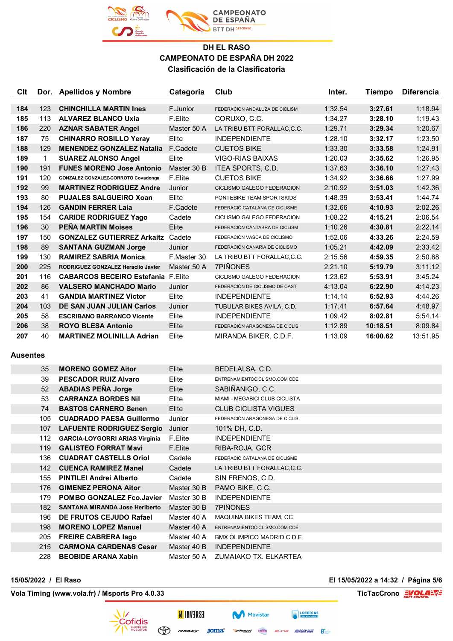

| Clt |     | Dor. Apellidos y Nombre                   | Categoria   | Club                           | Inter.  | Tiempo   | <b>Diferencia</b> |
|-----|-----|-------------------------------------------|-------------|--------------------------------|---------|----------|-------------------|
|     |     |                                           |             |                                |         |          |                   |
| 184 | 123 | <b>CHINCHILLA MARTIN Ines</b>             | F.Junior    | FEDERACIÓN ANDALUZA DE CICLISM | 1:32.54 | 3:27.61  | 1:18.94           |
| 185 | 113 | <b>ALVAREZ BLANCO Uxia</b>                | F.Elite     | CORUXO, C.C.                   | 1:34.27 | 3:28.10  | 1:19.43           |
| 186 | 220 | <b>AZNAR SABATER Angel</b>                | Master 50 A | LA TRIBU BTT FORALLAC, C.C.    | 1:29.71 | 3:29.34  | 1:20.67           |
| 187 | 75  | <b>CHINARRO ROSILLO Yeray</b>             | Elite       | <b>INDEPENDIENTE</b>           | 1:28.10 | 3:32.17  | 1:23.50           |
| 188 | 129 | <b>MENENDEZ GONZALEZ Natalia</b>          | F.Cadete    | <b>CUETOS BIKE</b>             | 1:33.30 | 3:33.58  | 1:24.91           |
| 189 | 1   | <b>SUAREZ ALONSO Angel</b>                | Elite       | <b>VIGO-RIAS BAIXAS</b>        | 1:20.03 | 3:35.62  | 1:26.95           |
| 190 | 191 | <b>FUNES MORENO Jose Antonio</b>          | Master 30 B | ITEA SPORTS, C.D.              | 1:37.63 | 3:36.10  | 1:27.43           |
| 191 | 120 | GONZALEZ GONZALEZ-CORROTO Covadonga       | F.Elite     | <b>CUETOS BIKE</b>             | 1:34.92 | 3:36.66  | 1:27.99           |
| 192 | 99  | <b>MARTINEZ RODRIGUEZ Andre</b>           | Junior      | CICLISMO GALEGO FEDERACION     | 2:10.92 | 3:51.03  | 1:42.36           |
| 193 | 80  | <b>PUJALES SALGUEIRO Xoan</b>             | Elite       | PONTEBIKE TEAM SPORTSKIDS      | 1:48.39 | 3:53.41  | 1:44.74           |
| 194 | 126 | <b>GANDIN FERRER Laja</b>                 | F.Cadete    | FEDERACIÓ CATALANA DE CICLISME | 1:32.66 | 4:10.93  | 2:02.26           |
| 195 | 154 | <b>CARIDE RODRIGUEZ Yago</b>              | Cadete      | CICLISMO GALEGO FEDERACION     | 1:08.22 | 4:15.21  | 2:06.54           |
| 196 | 30  | <b>PEÑA MARTIN Moises</b>                 | Elite       | FEDERACIÓN CÁNTABRA DE CICLISM | 1:10.26 | 4:30.81  | 2:22.14           |
| 197 | 150 | <b>GONZALEZ GUTIERREZ Arkaitz</b>         | Cadete      | FEDERACIÓN VASCA DE CICLISMO   | 1:52.06 | 4:33.26  | 2:24.59           |
| 198 | 89  | <b>SANTANA GUZMAN Jorge</b>               | Junior      | FEDERACIÓN CANARIA DE CICLISMO | 1:05.21 | 4:42.09  | 2:33.42           |
| 199 | 130 | <b>RAMIREZ SABRIA Monica</b>              | F.Master 30 | LA TRIBU BTT FORALLAC.C.C.     | 2:15.56 | 4:59.35  | 2:50.68           |
| 200 | 225 | RODRIGUEZ GONZALEZ Heraclio Javier        | Master 50 A | <b>7PIÑONES</b>                | 2:21.10 | 5:19.79  | 3:11.12           |
| 201 | 116 | <b>CABARCOS BECEIRO Estefania F.Elite</b> |             | CICLISMO GALEGO FEDERACION     | 1:23.62 | 5:53.91  | 3:45.24           |
| 202 | 86  | <b>VALSERO MANCHADO Mario</b>             | Junior      | FEDERACIÓN DE CICLISMO DE CAST | 4:13.04 | 6:22.90  | 4:14.23           |
| 203 | 41  | <b>GANDIA MARTINEZ Victor</b>             | Elite       | <b>INDEPENDIENTE</b>           | 1:14.14 | 6:52.93  | 4:44.26           |
| 204 | 103 | <b>DE SAN JUAN JULIAN Carlos</b>          | Junior      | TUBULAR BIKES AVILA, C.D.      | 1:17.41 | 6:57.64  | 4:48.97           |
| 205 | 58  | <b>ESCRIBANO BARRANCO Vicente</b>         | Elite       | <b>INDEPENDIENTE</b>           | 1:09.42 | 8:02.81  | 5:54.14           |
| 206 | 38  | <b>ROYO BLESA Antonio</b>                 | Elite       | FEDERACIÓN ARAGONESA DE CICLIS | 1:12.89 | 10:18.51 | 8:09.84           |
| 207 | 40  | <b>MARTINEZ MOLINILLA Adrian</b>          | Elite       | MIRANDA BIKER, C.D.F.          | 1:13.09 | 16:00.62 | 13:51.95          |

#### **Ausentes**

| 35  | <b>MORENO GOMEZ Aitor</b>             | Elite       | BEDELALSA, C.D.                       |
|-----|---------------------------------------|-------------|---------------------------------------|
| 39  | <b>PESCADOR RUIZ Alvaro</b>           | Elite       | ENTRENAMIENTOCICLISMO.COM CDE         |
| 52  | <b>ABADIAS PEÑA Jorge</b>             | Elite       | SABIÑANIGO, C.C.                      |
| 53  | <b>CARRANZA BORDES Nil</b>            | Elite       | <b>MIAMI - MEGABICI CLUB CICLISTA</b> |
| 74  | <b>BASTOS CARNERO Senen</b>           | Elite       | <b>CLUB CICLISTA VIGUES</b>           |
| 105 | <b>CUADRADO PAESA Guillermo</b>       | Junior      | FEDERACIÓN ARAGONESA DE CICLIS        |
| 107 | <b>LAFUENTE RODRIGUEZ Sergio</b>      | Junior      | 101% DH, C.D.                         |
| 112 | <b>GARCIA-LOYGORRI ARIAS Virginia</b> | F.Elite     | <b>INDEPENDIENTE</b>                  |
| 119 | <b>GALISTEO FORRAT Mavi</b>           | F.Elite     | RIBA-ROJA, GCR                        |
| 136 | <b>CUADRAT CASTELLS Oriol</b>         | Cadete      | FEDERACIÓ CATALANA DE CICLISME        |
|     | 142 CUENCA RAMIREZ Manel              | Cadete      | LA TRIBU BTT FORALLAC,C.C.            |
| 155 | <b>PINTILEI Andrei Alberto</b>        | Cadete      | SIN FRENOS, C.D.                      |
| 176 | <b>GIMENEZ PERONA Aitor</b>           | Master 30 B | PAMO BIKE, C.C.                       |
| 179 | <b>POMBO GONZALEZ Fco.Javier</b>      | Master 30 B | <b>INDEPENDIENTE</b>                  |
| 182 | <b>SANTANA MIRANDA Jose Heriberto</b> | Master 30 B | 7PIÑONES                              |
| 196 | DE FRUTOS CEJUDO Rafael               | Master 40 A | MAQUINA BIKES TEAM, CC                |
| 198 | <b>MORENO LOPEZ Manuel</b>            | Master 40 A | ENTRENAMIENTOCICLISMO.COM CDE         |
| 205 | <b>FREIRE CABRERA lago</b>            | Master 40 A | BMX OLIMPICO MADRID C.D.E             |
| 215 | <b>CARMONA CARDENAS Cesar</b>         | Master 40 B | <b>INDEPENDIENTE</b>                  |
| 228 | <b>BEOBIDE ARANA Xabin</b>            |             | Master 50 A ZUMAIAKO TX, ELKARTEA     |

**Vola Timing (www.vola.fr) / Msports Pro 4.0.33 TicTacCrono EVOLAL** 

**15/05/2022 / El Raso El 15/05/2022 a 14:32 / Página 5/6**



**ESAEVNI N**  $\bigoplus$  revolution  $\mathsf{Joma}^*$ 

**Movistar Vinfisport** Cazorla  $=$  $=$  MORGAN BLUE  $\sum_{n=1}^{\infty}$ 

**EXECUTERIAS**